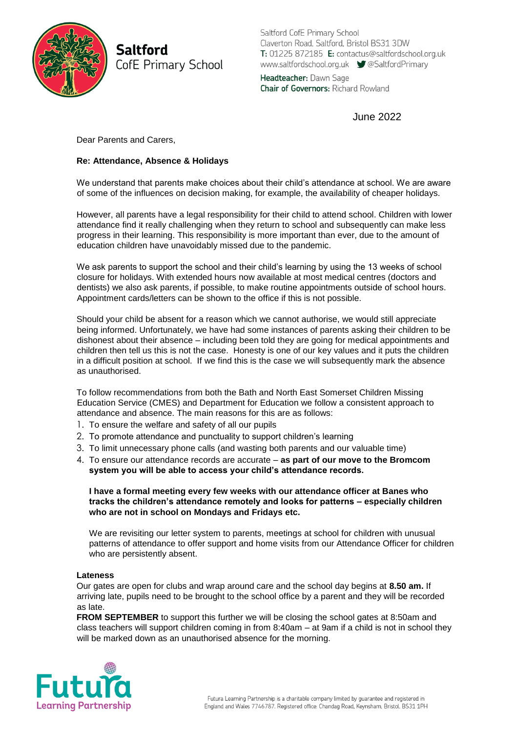

**Saltford** CofE Primary School Saltford CofE Primary School Claverton Road, Saltford, Bristol BS31 3DW T: 01225 872185 E: contactus@saltfordschool.org.uk www.saltfordschool.org.uk CSaltfordPrimary

Headteacher: Dawn Sage **Chair of Governors: Richard Rowland** 

June 2022

Dear Parents and Carers,

# **Re: Attendance, Absence & Holidays**

We understand that parents make choices about their child's attendance at school. We are aware of some of the influences on decision making, for example, the availability of cheaper holidays.

However, all parents have a legal responsibility for their child to attend school. Children with lower attendance find it really challenging when they return to school and subsequently can make less progress in their learning. This responsibility is more important than ever, due to the amount of education children have unavoidably missed due to the pandemic.

We ask parents to support the school and their child's learning by using the 13 weeks of school closure for holidays. With extended hours now available at most medical centres (doctors and dentists) we also ask parents, if possible, to make routine appointments outside of school hours. Appointment cards/letters can be shown to the office if this is not possible.

Should your child be absent for a reason which we cannot authorise, we would still appreciate being informed. Unfortunately, we have had some instances of parents asking their children to be dishonest about their absence – including been told they are going for medical appointments and children then tell us this is not the case. Honesty is one of our key values and it puts the children in a difficult position at school. If we find this is the case we will subsequently mark the absence as unauthorised.

To follow recommendations from both the Bath and North East Somerset Children Missing Education Service (CMES) and Department for Education we follow a consistent approach to attendance and absence. The main reasons for this are as follows:

- 1. To ensure the welfare and safety of all our pupils
- 2. To promote attendance and punctuality to support children's learning
- 3. To limit unnecessary phone calls (and wasting both parents and our valuable time)
- 4. To ensure our attendance records are accurate **as part of our move to the Bromcom system you will be able to access your child's attendance records.**

**I have a formal meeting every few weeks with our attendance officer at Banes who tracks the children's attendance remotely and looks for patterns – especially children who are not in school on Mondays and Fridays etc.**

We are revisiting our letter system to parents, meetings at school for children with unusual patterns of attendance to offer support and home visits from our Attendance Officer for children who are persistently absent.

## **Lateness**

Our gates are open for clubs and wrap around care and the school day begins at **8.50 am.** If arriving late, pupils need to be brought to the school office by a parent and they will be recorded as late.

**FROM SEPTEMBER** to support this further we will be closing the school gates at 8:50am and class teachers will support children coming in from 8:40am – at 9am if a child is not in school they will be marked down as an unauthorised absence for the morning.